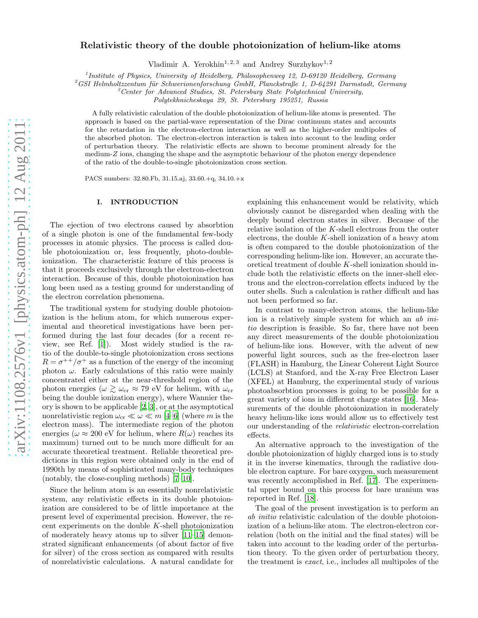# Relativistic theory of the double photoionization of helium-like atoms

Vladimir A. Yerokhin<sup>1, 2, 3</sup> and Andrey Surzhykov<sup>1, 2</sup>

<sup>1</sup> Institute of Physics, University of Heidelberg, Philosophenweg 12, D-69120 Heidelberg, Germany

 $^{2}$ GSI Helmholtzzentum für Schwerionenforschung GmbH, Planckstraße 1, D-64291 Darmstadt, Germany

 ${}^{3}$ Center for Advanced Studies, St. Petersburg State Polytechnical University,

Polytekhnicheskaya 29, St. Petersburg 195251, Russia

A fully relativistic calculation of the double photoionization of helium-like atoms is presented. The approach is based on the partial-wave representation of the Dirac continuum states and accounts for the retardation in the electron-electron interaction as well as the higher-order multipoles of the absorbed photon. The electron-electron interaction is taken into account to the leading order of perturbation theory. The relativistic effects are shown to become prominent already for the medium-Z ions, changing the shape and the asymptotic behaviour of the photon energy dependence of the ratio of the double-to-single photoionization cross section.

PACS numbers: 32.80.Fb, 31.15.aj, 33.60.+q, 34.10.+x

# I. INTRODUCTION

The ejection of two electrons caused by absorbtion of a single photon is one of the fundamental few-body processes in atomic physics. The process is called double photoionization or, less frequently, photo-doubleionization. The characteristic feature of this process is that it proceeds exclusively through the electron-electron interaction. Because of this, double photoionization has long been used as a testing ground for understanding of the electron correlation phenomena.

The traditional system for studying double photoionization is the helium atom, for which numerous experimental and theoretical investigations have been performed during the last four decades (for a recent review, see Ref. [\[1](#page-9-0)]). Most widely studied is the ratio of the double-to-single photoionization cross sections  $R = \sigma^{++}/\sigma^{+}$  as a function of the energy of the incoming photon  $\omega$ . Early calculations of this ratio were mainly concentrated either at the near-threshold region of the photon energies ( $\omega \gtrsim \omega_{cr} \approx 79$  eV for helium, with  $\omega_{cr}$ being the double ionization energy), where Wannier theory is shown to be applicable [\[2,](#page-9-1) [3\]](#page-9-2), or at the asymptotical nonrelativistic region  $\omega_{\rm cr} \ll \omega \ll m$  [\[4](#page-9-3)[–6\]](#page-9-4) (where m is the electron mass). The intermediate region of the photon energies ( $\omega \approx 200$  eV for helium, where  $R(\omega)$  reaches its maximum) turned out to be much more difficult for an accurate theoretical treatment. Reliable theoretical predictions in this region were obtained only in the end of 1990th by means of sophisticated many-body techniques (notably, the close-coupling methods) [\[7](#page-9-5)[–10\]](#page-9-6).

Since the helium atom is an essentially nonrelativistic system, any relativistic effects in its double photoionization are considered to be of little importance at the present level of experimental precision. However, the recent experiments on the double  $K$ -shell photoionization of moderately heavy atoms up to silver [\[11](#page-9-7)[–15](#page-9-8)] demonstrated significant enhancements (of about factor of five for silver) of the cross section as compared with results of nonrelativistic calculations. A natural candidate for

explaining this enhancement would be relativity, which obviously cannot be disregarded when dealing with the deeply bound electron states in silver. Because of the relative isolation of the K-shell electrons from the outer electrons, the double  $K$ -shell ionization of a heavy atom is often compared to the double photoionization of the corresponding helium-like ion. However, an accurate theoretical treatment of double K-shell ionization should include both the relativistic effects on the inner-shell electrons and the electron-correlation effects induced by the outer shells. Such a calculation is rather difficult and has not been performed so far.

In contrast to many-electron atoms, the helium-like ion is a relatively simple system for which an ab initio description is feasible. So far, there have not been any direct measurements of the double photoionization of helium-like ions. However, with the advent of new powerful light sources, such as the free-electron laser (FLASH) in Hamburg, the Linear Coherent Light Source (LCLS) at Stanford, and the X-ray Free Electron Laser (XFEL) at Hamburg, the experimental study of various photoabsorbtion processes is going to be possible for a great variety of ions in different charge states [\[16](#page-9-9)]. Measurements of the double photoionization in moderately heavy helium-like ions would allow us to effectively test our understanding of the relativistic electron-correlation effects.

An alternative approach to the investigation of the double photoionization of highly charged ions is to study it in the inverse kinematics, through the radiative double electron capture. For bare oxygen, such measurement was recently accomplished in Ref. [\[17\]](#page-9-10). The experimental upper bound on this process for bare uranium was reported in Ref. [\[18\]](#page-9-11).

The goal of the present investigation is to perform an ab initio relativistic calculation of the double photoionization of a helium-like atom. The electron-electron correlation (both on the initial and the final states) will be taken into account to the leading order of the perturbation theory. To the given order of perturbation theory, the treatment is exact, i.e., includes all multipoles of the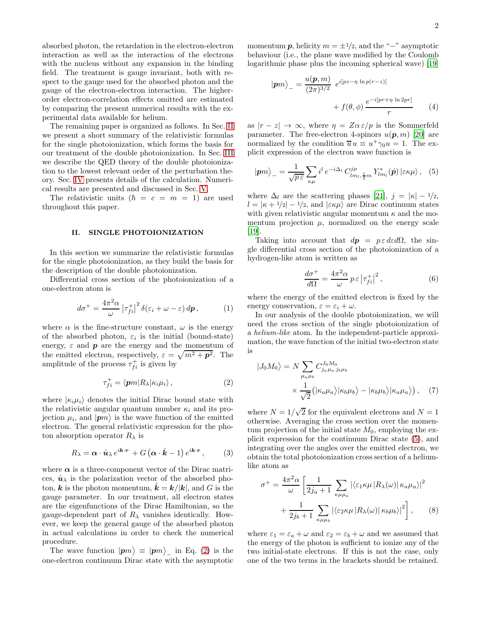absorbed photon, the retardation in the electron-electron interaction as well as the interaction of the electrons with the nucleus without any expansion in the binding field. The treatment is gauge invariant, both with respect to the gauge used for the absorbed photon and the gauge of the electron-electron interaction. The higherorder electron-correlation effects omitted are estimated by comparing the present numerical results with the experimental data available for helium.

The remaining paper is organized as follows. In Sec. [II](#page-1-0) we present a short summary of the relativistic formulas for the single photoionization, which forms the basis for our treatment of the double photoionization. In Sec. [III](#page-2-0) we describe the QED theory of the double photoionization to the lowest relevant order of the perturbation theory. Sec. [IV](#page-3-0) presents details of the calculation. Numerical results are presented and discussed in Sec. [V.](#page-4-0)

The relativistic units  $(h = c = m = 1)$  are used throughout this paper.

### <span id="page-1-0"></span>II. SINGLE PHOTOIONIZATION

In this section we summarize the relativistic formulas for the single photoionization, as they build the basis for the description of the double photoionization.

Differential cross section of the photoionization of a one-electron atom is

$$
d\sigma^{+} = \frac{4\pi^2 \alpha}{\omega} \left| \tau_{fi}^{+} \right|^2 \delta(\varepsilon_i + \omega - \varepsilon) \, d\mathbf{p},\tag{1}
$$

where  $\alpha$  is the fine-structure constant,  $\omega$  is the energy of the absorbed photon,  $\varepsilon_i$  is the initial (bound-state) energy,  $\varepsilon$  and  $\boldsymbol{p}$  are the energy and the momentum of the emitted electron, respectively,  $\varepsilon = \sqrt{m^2 + p^2}$ . The amplitude of the process  $\tau_{fi}^+$  is given by

$$
\tau_{fi}^{+} = \langle \mathbf{p}m | R_{\lambda} | \kappa_{i} \mu_{i} \rangle , \qquad (2)
$$

where  $|\kappa_i \mu_i\rangle$  denotes the initial Dirac bound state with the relativistic angular quantum number  $\kappa_i$  and its projection  $\mu_i$ , and  $|{\bf p}m\rangle$  is the wave function of the emitted electron. The general relativistic expression for the photon absorption operator  $R_{\lambda}$  is

$$
R_{\lambda} = \boldsymbol{\alpha} \cdot \hat{\boldsymbol{u}}_{\lambda} e^{i\boldsymbol{k} \cdot \boldsymbol{r}} + G\left(\boldsymbol{\alpha} \cdot \hat{\boldsymbol{k}} - 1\right) e^{i\boldsymbol{k} \cdot \boldsymbol{r}},\qquad(3)
$$

where  $\alpha$  is a three-component vector of the Dirac matrices,  $\hat{\mathbf{u}}_{\lambda}$  is the polarization vector of the absorbed photon, k is the photon momentum,  $\hat{k} = k/|k|$ , and G is the gauge parameter. In our treatment, all electron states are the eigenfunctions of the Dirac Hamiltonian, so the gauge-dependent part of  $R_{\lambda}$  vanishes identically. However, we keep the general gauge of the absorbed photon in actual calculations in order to check the numerical procedure.

The wave function  $|pm\rangle \equiv |pm\rangle$ <sub>-</sub> in Eq. [\(2\)](#page-1-1) is the one-electron continuum Dirac state with the asymptotic

momentum **p**, helicity  $m = \pm 1/2$ , and the "−" asymptotic behaviour (i.e., the plane wave modified by the Coulomb logarithmic phase plus the incoming spherical wave) [\[19](#page-9-12)]

$$
|\boldsymbol{p}m\rangle_{-} = \frac{u(\boldsymbol{p}, m)}{(2\pi)^{3/2}} e^{i[pz - \eta \ln p(r-z)]} + f(\theta, \phi) \frac{e^{-i[pr + \eta \ln 2pr]}}{r}
$$
 (4)

as  $|r - z| \to \infty$ , where  $\eta = Z \alpha \varepsilon / p$  is the Sommerfeld parameter. The free-electron 4-spinors  $u(\boldsymbol{p}, m)$  [\[20\]](#page-9-13) are normalized by the condition  $\overline{u}u \equiv u^+\gamma_0u = 1$ . The explicit expression of the electron wave function is

$$
|\boldsymbol{p}m\rangle_{-} = \frac{1}{\sqrt{p\,\varepsilon}} \sum_{\kappa\mu} i^l \, e^{-i\Delta_l} \, C_{lm_l,\frac{1}{2}m}^{j\mu} \, Y_{lm_l}^*(\hat{\boldsymbol{p}}) \, |\varepsilon\kappa\mu\rangle \,, \quad (5)
$$

where  $\Delta_l$  are the scattering phases [\[21](#page-9-14)],  $j = |\kappa| - 1/2$ ,  $l = |\kappa + 1/2| - 1/2$ , and  $|\varepsilon \kappa \mu\rangle$  are Dirac continuum states with given relativistic angular momentum  $\kappa$  and the momentum projection  $\mu$ , normalized on the energy scale [\[19\]](#page-9-12).

Taking into account that  $dp = p \epsilon d\epsilon d\Omega$ , the single differential cross section of the photoionization of a hydrogen-like atom is written as

<span id="page-1-3"></span><span id="page-1-2"></span>
$$
\frac{d\sigma^+}{d\Omega} = \frac{4\pi^2\alpha}{\omega} \, p \, \varepsilon \left| \tau_{fi}^+ \right|^2, \tag{6}
$$

where the energy of the emitted electron is fixed by the energy conservation,  $\varepsilon = \varepsilon_i + \omega$ .

In our analysis of the double photoionization, we will need the cross section of the single photoionization of a helium-like atom. In the independent-particle approximation, the wave function of the initial two-electron state is

<span id="page-1-1"></span>
$$
|J_0M_0\rangle = N \sum_{\mu_a\mu_b} C_{j_a\mu_a\,j_b\mu_b}^{J_0M_0}
$$

$$
\times \frac{1}{\sqrt{2}} (|\kappa_a\mu_a\rangle|\kappa_b\mu_b\rangle - |\kappa_b\mu_b\rangle|\kappa_a\mu_a\rangle), \quad (7)
$$

where  $N = 1/\sqrt{2}$  for the equivalent electrons and  $N = 1$ otherwise. Averaging the cross section over the momentum projection of the initial state  $M_0$ , employing the explicit expression for the continuum Dirac state [\(5\)](#page-1-2), and integrating over the angles over the emitted electron, we obtain the total photoionization cross section of a heliumlike atom as

<span id="page-1-4"></span>
$$
\sigma^{+} = \frac{4\pi^{2}\alpha}{\omega} \left[ \frac{1}{2j_{a} + 1} \sum_{\kappa\mu\mu_{a}} |\langle \varepsilon_{1}\kappa\mu | R_{\lambda}(\omega) | \kappa_{a}\mu_{a} \rangle|^{2} + \frac{1}{2j_{b} + 1} \sum_{\kappa\mu\mu_{b}} |\langle \varepsilon_{2}\kappa\mu | R_{\lambda}(\omega) | \kappa_{b}\mu_{b} \rangle|^{2} \right], \quad (8)
$$

where  $\varepsilon_1 = \varepsilon_a + \omega$  and  $\varepsilon_2 = \varepsilon_b + \omega$  and we assumed that the energy of the photon is sufficient to ionize any of the two initial-state electrons. If this is not the case, only one of the two terms in the brackets should be retained.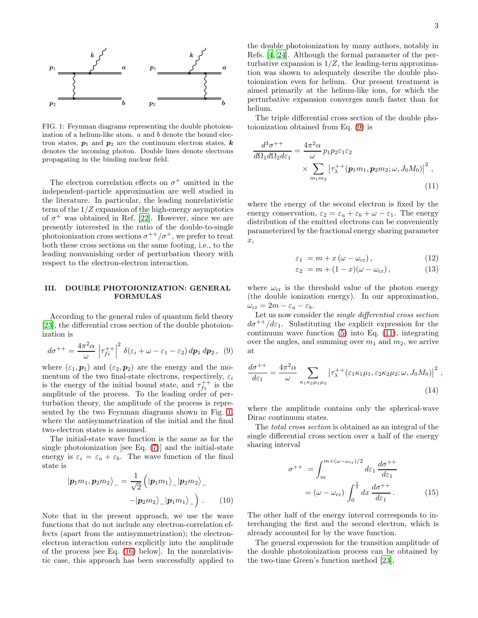

<span id="page-2-1"></span>FIG. 1: Feynman diagrams representing the double photoionization of a helium-like atom.  $a$  and  $b$  denote the bound electron states,  $p_1$  and  $p_2$  are the continuum electron states, k denotes the incoming photon. Double lines denote electrons propagating in the binding nuclear field.

The electron correlation effects on  $\sigma^+$  omitted in the independent-particle approximation are well studied in the literature. In particular, the leading nonrelativistic term of the  $1/Z$  expansion of the high-energy asymptotics of  $\sigma^+$  was obtained in Ref. [\[22](#page-9-15)]. However, since we are presently interested in the ratio of the double-to-single photoionization cross sections  $\sigma^{++}/\sigma^+$ , we prefer to treat both these cross sections on the same footing, i.e., to the leading nonvanishing order of perturbation theory with respect to the electron-electron interaction.

## <span id="page-2-0"></span>III. DOUBLE PHOTOIONIZATION: GENERAL FORMULAS

According to the general rules of quantum field theory [\[23\]](#page-9-16), the differential cross section of the double photoionization is

$$
d\sigma^{++} = \frac{4\pi^2\alpha}{\omega} \left| \tau_{fi}^{++} \right|^2 \delta(\varepsilon_i + \omega - \varepsilon_1 - \varepsilon_2) \, dp_1 \, dp_2 \,, \tag{9}
$$

where  $(\varepsilon_1, \mathbf{p}_1)$  and  $(\varepsilon_2, \mathbf{p}_2)$  are the energy and the momentum of the two final-state electrons, respectively,  $\varepsilon_i$ is the energy of the initial bound state, and  $\tau_{fi}^{++}$  is the amplitude of the process. To the leading order of perturbation theory, the amplitude of the process is represented by the two Feynman diagrams shown in Fig. [1,](#page-2-1) where the antisymmetrization of the initial and the final two-electron states is assumed.

The initial-state wave function is the same as for the single photoionization [see Eq.  $(7)$ ] and the initial-state energy is  $\varepsilon_i = \varepsilon_a + \varepsilon_b$ . The wave function of the final state is

$$
|\boldsymbol{p}_{1}m_{1}, \boldsymbol{p}_{2}m_{2}\rangle_{-} = \frac{1}{\sqrt{2}} (|\boldsymbol{p}_{1}m_{1}\rangle_{-}|\boldsymbol{p}_{2}m_{2}\rangle_{-} - |\boldsymbol{p}_{2}m_{2}\rangle_{-}|\boldsymbol{p}_{1}m_{1}\rangle_{-}) . \qquad (10)
$$

Note that in the present approach, we use the wave functions that do not include any electron-correlation effects (apart from the antisymmetrization); the electronelectron interaction enters explicitly into the amplitude of the process [see Eq. [\(16\)](#page-3-1) below]. In the nonrelativistic case, this approach has been successfully applied to

the double photoionization by many authors, notably in Refs. [\[4,](#page-9-3) [24\]](#page-9-17). Although the formal parameter of the perturbative expansion is  $1/Z$ , the leading-term approximation was shown to adequately describe the double photoionization even for helium. Our present treatment is aimed primarily at the helium-like ions, for which the perturbative expansion converges much faster than for helium.

The triple differential cross section of the double photoionization obtained from Eq. [\(9\)](#page-2-2) is

$$
\frac{d^3\sigma^{++}}{d\Omega_1 d\Omega_2 d\varepsilon_1} = \frac{4\pi^2 \alpha}{\omega} p_1 p_2 \varepsilon_1 \varepsilon_2
$$
\n
$$
\times \sum_{m_1 m_2} \left| \tau_{\lambda}^{++}(\boldsymbol{p}_1 m_1, \boldsymbol{p}_2 m_2; \omega, J_0 M_0) \right|^2,
$$
\n(11)

where the energy of the second electron is fixed by the energy conservation,  $\varepsilon_2 = \varepsilon_a + \varepsilon_b + \omega - \varepsilon_1$ . The energy distribution of the emitted electrons can be conveniently parameterized by the fractional energy sharing parameter x,

<span id="page-2-6"></span><span id="page-2-3"></span>
$$
\varepsilon_1 = m + x \left( \omega - \omega_{\rm cr} \right), \tag{12}
$$

<span id="page-2-7"></span>
$$
\varepsilon_2 = m + (1 - x)(\omega - \omega_{\rm cr}), \qquad (13)
$$

where  $\omega_{\rm cr}$  is the threshold value of the photon energy (the double ionization energy). In our approximation,  $\omega_{\rm cr} = 2m - \varepsilon_a - \varepsilon_b.$ 

Let us now consider the single differential cross section  $d\sigma^{++}/d\varepsilon_1$ . Substituting the explicit expression for the continuum wave function  $(5)$  into Eq.  $(11)$ , integrating over the angles, and summing over  $m_1$  and  $m_2$ , we arrive at

<span id="page-2-2"></span>
$$
\frac{d\sigma^{++}}{d\varepsilon_1} = \frac{4\pi^2 \alpha}{\omega} \sum_{\kappa_1 \kappa_2 \mu_1 \mu_2} \left| \tau_{\lambda}^{++}(\varepsilon_1 \kappa_1 \mu_1, \varepsilon_2 \kappa_2 \mu_2; \omega, J_0 M_0) \right|^2, \tag{14}
$$

where the amplitude contains only the spherical-wave Dirac continuum states.

The total cross section is obtained as an integral of the single differential cross section over a half of the energy sharing interval

<span id="page-2-5"></span><span id="page-2-4"></span>
$$
\sigma^{++} = \int_{m}^{m+(\omega-\omega_{cr})/2} d\varepsilon_1 \frac{d\sigma^{++}}{d\varepsilon_1}
$$

$$
= (\omega - \omega_{cr}) \int_0^{\frac{1}{2}} dx \frac{d\sigma^{++}}{d\varepsilon_1}.
$$
(15)

The other half of the energy interval corresponds to interchanging the first and the second electron, which is already accounted for by the wave function.

The general expression for the transition amplitude of the double photoionization process can be obtained by the two-time Green's function method [\[23\]](#page-9-16),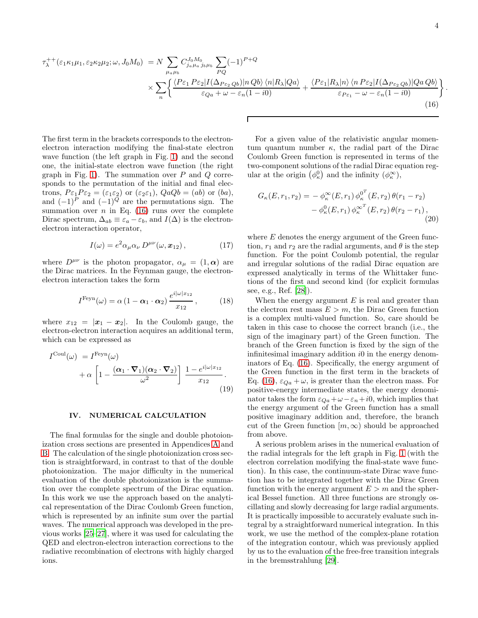<span id="page-3-1"></span>.

$$
\tau_{\lambda}^{++}(\varepsilon_{1}\kappa_{1}\mu_{1},\varepsilon_{2}\kappa_{2}\mu_{2};\omega,J_{0}M_{0}) = N \sum_{\mu_{a}\mu_{b}} C_{j_{a}\mu_{a}j_{b}\mu_{b}}^{J_{0}M_{0}} \sum_{PQ} (-1)^{P+Q} \times \sum_{\varepsilon_{Q}a} \frac{\langle P\varepsilon_{1} P\varepsilon_{2} | I(\Delta_{P\varepsilon_{2}Qb}) | nQb \rangle \langle n | R_{\lambda} | Qa \rangle}{\varepsilon_{Qa} + \omega - \varepsilon_{n}(1 - i0)} + \frac{\langle P\varepsilon_{1} | R_{\lambda} | n \rangle \langle n P\varepsilon_{2} | I(\Delta_{P\varepsilon_{2}Qb}) | QaQb \rangle}{\varepsilon_{P\varepsilon_{1}} - \omega - \varepsilon_{n}(1 - i0)} \left\{ \frac{\langle n | R_{\lambda} | n \rangle \langle n | R_{\lambda} | Qa \rangle}{\varepsilon_{P\varepsilon_{2}} - \omega - \varepsilon_{n}(1 - i0)} \right\} \tag{16}
$$

The first term in the brackets corresponds to the electronelectron interaction modifying the final-state electron wave function (the left graph in Fig. [1\)](#page-2-1) and the second one, the initial-state electron wave function (the right graph in Fig. [1\)](#page-2-1). The summation over  $P$  and  $Q$  corresponds to the permutation of the initial and final electrons,  $P \varepsilon_1 P \varepsilon_2 = (\varepsilon_1 \varepsilon_2)$  or  $(\varepsilon_2 \varepsilon_1)$ ,  $Q a Q b = (ab)$  or  $(ba)$ , and  $(-1)^{P}$  and  $(-1)^{Q}$  are the permutations sign. The summation over  $n$  in Eq. [\(16\)](#page-3-1) runs over the complete Dirac spectrum,  $\Delta_{ab} \equiv \varepsilon_a - \varepsilon_b$ , and  $I(\Delta)$  is the electronelectron interaction operator,

$$
I(\omega) = e^2 \alpha_\mu \alpha_\nu D^{\mu\nu}(\omega, \mathbf{x}_{12}), \qquad (17)
$$

where  $D^{\mu\nu}$  is the photon propagator,  $\alpha_{\mu} = (1, \alpha)$  are the Dirac matrices. In the Feynman gauge, the electronelectron interaction takes the form

$$
I^{\text{Feyn}}(\omega) = \alpha \left(1 - \alpha_1 \cdot \alpha_2\right) \frac{e^{i|\omega|x_{12}}}{x_{12}}, \quad (18)
$$

where  $x_{12} = |\mathbf{x}_1 - \mathbf{x}_2|$ . In the Coulomb gauge, the electron-electron interaction acquires an additional term, which can be expressed as

$$
I^{\text{Coul}}(\omega) = I^{\text{Feyn}}(\omega) + \alpha \left[ 1 - \frac{(\alpha_1 \cdot \nabla_1)(\alpha_2 \cdot \nabla_2)}{\omega^2} \right] \frac{1 - e^{i|\omega| x_{12}}}{x_{12}}.
$$
\n(19)

### <span id="page-3-0"></span>IV. NUMERICAL CALCULATION

The final formulas for the single and double photoionization cross sections are presented in Appendices [A](#page-6-0) and [B.](#page-8-0) The calculation of the single photoionization cross section is straightforward, in contrast to that of the double photoionization. The major difficulty in the numerical evaluation of the double photoionization is the summation over the complete spectrum of the Dirac equation. In this work we use the approach based on the analytical representation of the Dirac Coulomb Green function, which is represented by an infinite sum over the partial waves. The numerical approach was developed in the previous works [\[25](#page-9-18)[–27\]](#page-9-19), where it was used for calculating the QED and electron-electron interaction corrections to the radiative recombination of electrons with highly charged ions.

For a given value of the relativistic angular momentum quantum number  $\kappa$ , the radial part of the Dirac Coulomb Green function is represented in terms of the two-component solutions of the radial Dirac equation regular at the origin  $(\phi_{\kappa}^0)$  and the infinity  $(\phi_{\kappa}^{\infty})$ ,

$$
G_{\kappa}(E, r_1, r_2) = -\phi_{\kappa}^{\infty}(E, r_1) \phi_{\kappa}^{0^T}(E, r_2) \theta(r_1 - r_2) - \phi_{\kappa}^{0}(E, r_1) \phi_{\kappa}^{\infty^T}(E, r_2) \theta(r_2 - r_1),
$$
\n(20)

where  $E$  denotes the energy argument of the Green function,  $r_1$  and  $r_2$  are the radial arguments, and  $\theta$  is the step function. For the point Coulomb potential, the regular and irregular solutions of the radial Dirac equation are expressed analytically in terms of the Whittaker functions of the first and second kind (for explicit formulas see, e.g., Ref. [\[28\]](#page-9-20)).

<span id="page-3-2"></span>When the energy argument  $E$  is real and greater than the electron rest mass  $E > m$ , the Dirac Green function is a complex multi-valued function. So, care should be taken in this case to choose the correct branch (i.e., the sign of the imaginary part) of the Green function. The branch of the Green function is fixed by the sign of the infinitesimal imaginary addition  $i0$  in the energy denominators of Eq. [\(16\)](#page-3-1). Specifically, the energy argument of the Green function in the first term in the brackets of Eq. [\(16\)](#page-3-1),  $\varepsilon_{Qa} + \omega$ , is greater than the electron mass. For positive-energy intermediate states, the energy denominator takes the form  $\varepsilon_{Qa} + \omega - \varepsilon_n + i0$ , which implies that the energy argument of the Green function has a small positive imaginary addition and, therefore, the branch cut of the Green function  $[m,\infty)$  should be approached from above.

<span id="page-3-3"></span>A serious problem arises in the numerical evaluation of the radial integrals for the left graph in Fig. [1](#page-2-1) (with the electron correlation modifying the final-state wave function). In this case, the continuum-state Dirac wave function has to be integrated together with the Dirac Green function with the energy argument  $E > m$  and the spherical Bessel function. All three functions are strongly oscillating and slowly decreasing for large radial arguments. It is practically impossible to accurately evaluate such integral by a straightforward numerical integration. In this work, we use the method of the complex-plane rotation of the integration contour, which was previously applied by us to the evaluation of the free-free transition integrals in the bremsstrahlung [\[29\]](#page-9-21).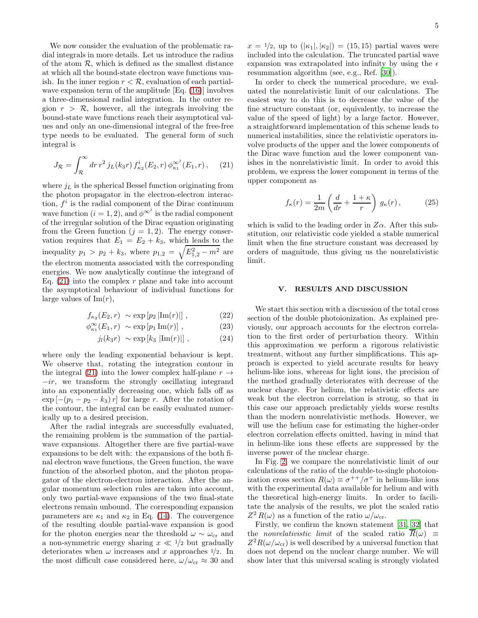We now consider the evaluation of the problematic radial integrals in more details. Let us introduce the radius of the atom  $R$ , which is defined as the smallest distance at which all the bound-state electron wave functions vanish. In the inner region  $r < \mathcal{R}$ , evaluation of each partialwave expansion term of the amplitude [Eq. [\(16\)](#page-3-1)] involves a three-dimensional radial integration. In the outer region  $r > \mathcal{R}$ , however, all the integrals involving the bound-state wave functions reach their asymptotical values and only an one-dimensional integral of the free-free type needs to be evaluated. The general form of such integral is

$$
J_{\mathcal{R}} = \int_{\mathcal{R}}^{\infty} dr \, r^2 \, j_L(k_3 r) \, f_{\kappa_2}^i(E_2, r) \, \phi_{\kappa_1}^{\infty^j}(E_1, r) \,, \tag{21}
$$

where  $j_L$  is the spherical Bessel function originating from the photon propagator in the electron-electron interaction,  $f^i$  is the radial component of the Dirac continuum wave function  $(i = 1, 2)$ , and  $\phi^{\infty^j}$  is the radial component of the irregular solution of the Dirac equation originating from the Green function  $(j = 1, 2)$ . The energy conservation requires that  $E_1 = E_2 + k_3$ , which leads to the inequality  $p_1 > p_2 + k_3$ , where  $p_{1,2} = \sqrt{E_{1,2}^2 - m^2}$  are the electron momenta associated with the corresponding energies. We now analytically continue the integrand of Eq.  $(21)$  into the complex r plane and take into account the asymptotical behaviour of individual functions for large values of  $\text{Im}(r)$ ,

$$
f_{\kappa_2}(E_2, r) \sim \exp [p_2 |Im(r)|], \qquad (22)
$$

$$
\phi_{\kappa_1}^{\infty}(E_1, r) \sim \exp\left[p_1 \operatorname{Im}(r)\right], \qquad (23)
$$

$$
j_l(k_3r) \sim \exp[k_3 |Im(r)|], \qquad (24)
$$

where only the leading exponential behaviour is kept. We observe that, rotating the integration contour in the integral [\(21\)](#page-4-1) into the lower complex half-plane  $r \rightarrow$  $-ir$ , we transform the strongly oscillating integrand into an exponentially decreasing one, which falls off as  $\exp\left[-(p_1-p_2-k_3)r\right]$  for large r. After the rotation of the contour, the integral can be easily evaluated numerically up to a desired precision.

After the radial integrals are successfully evaluated, the remaining problem is the summation of the partialwave expansions. Altogether there are five partial-wave expansions to be delt with: the expansions of the both final electron wave functions, the Green function, the wave function of the absorbed photon, and the photon propagator of the electron-electron interaction. After the angular momentum selection rules are taken into account, only two partial-wave expansions of the two final-state electrons remain unbound. The corresponding expansion parameters are  $\kappa_1$  and  $\kappa_2$  in Eq. [\(14\)](#page-2-4). The convergence of the resulting double partial-wave expansion is good for the photon energies near the threshold  $\omega \sim \omega_{\rm cr}$  and a non-symmetric energy sharing  $x \ll 1/2$  but gradually deteriorates when  $\omega$  increases and x approaches  $\frac{1}{2}$ . In the most difficult case considered here,  $\omega/\omega_{cr} \approx 30$  and

 $x = \frac{1}{2}$ , up to  $(|\kappa_1|, |\kappa_2|) = (15, 15)$  partial waves were included into the calculation. The truncated partial wave expansion was extrapolated into infinity by using the  $\epsilon$ resummation algorithm (see, e.g., Ref. [\[30\]](#page-9-22)).

In order to check the numerical procedure, we evaluated the nonrelativistic limit of our calculations. The easiest way to do this is to decrease the value of the fine structure constant (or, equivalently, to increase the value of the speed of light) by a large factor. However, a straightforward implementation of this scheme leads to numerical instabilities, since the relativistic operators involve products of the upper and the lower components of the Dirac wave function and the lower component vanishes in the nonrelativistic limit. In order to avoid this problem, we express the lower component in terms of the upper component as

$$
f_{\kappa}(r) = \frac{1}{2m} \left( \frac{d}{dr} + \frac{1+\kappa}{r} \right) g_{\kappa}(r), \qquad (25)
$$

<span id="page-4-1"></span>which is valid to the leading order in  $Z\alpha$ . After this substitution, our relativistic code yielded a stable numerical limit when the fine structure constant was decreased by orders of magnitude, thus giving us the nonrelativistic limit.

### <span id="page-4-0"></span>V. RESULTS AND DISCUSSION

We start this section with a discussion of the total cross section of the double photoionization. As explained previously, our approach accounts for the electron correlation to the first order of perturbation theory. Within this approximation we perform a rigorous relativistic treatment, without any further simplifications. This approach is expected to yield accurate results for heavy helium-like ions, whereas for light ions, the precision of the method gradually deteriorates with decrease of the nuclear charge. For helium, the relativistic effects are weak but the electron correlation is strong, so that in this case our approach predictably yields worse results than the modern nonrelativistic methods. However, we will use the helium case for estimating the higher-order electron correlation effects omitted, having in mind that in helium-like ions these effects are suppressed by the inverse power of the nuclear charge.

In Fig. [2,](#page-5-0) we compare the nonrelativistic limit of our calculations of the ratio of the double-to-single photoionization cross section  $R(\omega) \equiv \sigma^{++}/\sigma^+$  in helium-like ions with the experimental data available for helium and with the theoretical high-energy limits. In order to facilitate the analysis of the results, we plot the scaled ratio  $Z^2 R(\omega)$  as a function of the ratio  $\omega/\omega_{\rm cr}$ .

Firstly, we confirm the known statement [\[31](#page-9-23), [32\]](#page-10-0) that the *nonrelativistic limit* of the scaled ratio  $\overline{R}(\omega) \equiv$  $Z^2R(\omega/\omega_{\rm cr})$  is well described by a universal function that does not depend on the nuclear charge number. We will show later that this universal scaling is strongly violated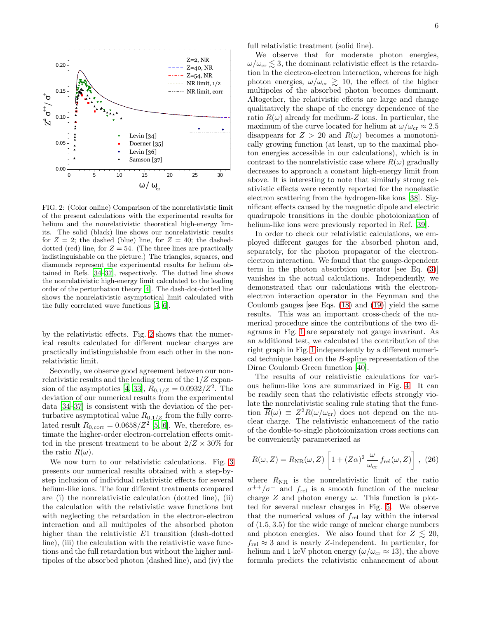

<span id="page-5-0"></span>FIG. 2: (Color online) Comparison of the nonrelativistic limit of the present calculations with the experimental results for helium and the nonrelativistic theoretical high-energy limits. The solid (black) line shows our nonrelativistic results for  $Z = 2$ ; the dashed (blue) line, for  $Z = 40$ ; the dasheddotted (red) line, for  $Z = 54$ . (The three lines are practically indistinguishable on the picture.) The triangles, squares, and diamonds represent the experimental results for helium obtained in Refs. [\[34](#page-10-1)[–37\]](#page-10-2), respectively. The dotted line shows the nonrelativistic high-energy limit calculated to the leading order of the perturbation theory [\[4](#page-9-3)]. The dash-dot-dotted line shows the nonrelativistic asymptotical limit calculated with the fully correlated wave functions [\[5](#page-9-24), [6](#page-9-4)].

by the relativistic effects. Fig. [2](#page-5-0) shows that the numerical results calculated for different nuclear charges are practically indistinguishable from each other in the nonrelativistic limit.

Secondly, we observe good agreement between our nonrelativistic results and the leading term of the 1/Z expan-sion of the asymptotics [\[4,](#page-9-3) [33\]](#page-10-3),  $R_{0,1/Z} = 0.0932/Z^2$ . The deviation of our numerical results from the experimental data [\[34](#page-10-1)[–37\]](#page-10-2) is consistent with the deviation of the perturbative asymptotical value  $R_{0,1/Z}$  from the fully correlated result  $R_{0,\text{corr}} = 0.0658/Z^2$  [\[5,](#page-9-24) [6](#page-9-4)]. We, therefore, estimate the higher-order electron-correlation effects omitted in the present treatment to be about  $2/Z \times 30\%$  for the ratio  $R(\omega)$ .

We now turn to our relativistic calculations. Fig. [3](#page-7-0) presents our numerical results obtained with a step-bystep inclusion of individual relativistic effects for several helium-like ions. The four different treatments compared are (i) the nonrelativistic calculation (dotted line), (ii) the calculation with the relativistic wave functions but with neglecting the retardation in the electron-electron interaction and all multipoles of the absorbed photon higher than the relativistic E1 transition (dash-dotted line), (iii) the calculation with the relativistic wave functions and the full retardation but without the higher multipoles of the absorbed photon (dashed line), and (iv) the full relativistic treatment (solid line).

We observe that for moderate photon energies,  $\omega/\omega_{\rm cr} \lesssim 3$ , the dominant relativistic effect is the retardation in the electron-electron interaction, whereas for high photon energies,  $\omega/\omega_{\rm cr} \gtrsim 10$ , the effect of the higher multipoles of the absorbed photon becomes dominant. Altogether, the relativistic effects are large and change qualitatively the shape of the energy dependence of the ratio  $R(\omega)$  already for medium-Z ions. In particular, the maximum of the curve located for helium at  $\omega/\omega_{cr} \approx 2.5$ disappears for  $Z > 20$  and  $R(\omega)$  becomes a monotonically growing function (at least, up to the maximal photon energies accessible in our calculations), which is in contrast to the nonrelativistic case where  $R(\omega)$  gradually decreases to approach a constant high-energy limit from above. It is interesting to note that similarly strong relativistic effects were recently reported for the nonelastic electron scattering from the hydrogen-like ions [\[38\]](#page-10-4). Significant effects caused by the magnetic dipole and electric quadrupole transitions in the double photoionization of helium-like ions were previously reported in Ref. [\[39\]](#page-10-5).

In order to check our relativistic calculations, we employed different gauges for the absorbed photon and, separately, for the photon propagator of the electronelectron interaction. We found that the gauge-dependent term in the photon absorbtion operator [see Eq. [\(3\)](#page-1-4)] vanishes in the actual calculations. Independently, we demonstrated that our calculations with the electronelectron interaction operator in the Feynman and the Coulomb gauges [see Eqs. [\(18\)](#page-3-2) and [\(19\)](#page-3-3)] yield the same results. This was an important cross-check of the numerical procedure since the contributions of the two diagrams in Fig. [1](#page-2-1) are separately not gauge invariant. As an additional test, we calculated the contribution of the right graph in Fig. [1](#page-2-1) independently by a different numerical technique based on the B-spline representation of the Dirac Coulomb Green function [\[40\]](#page-10-6).

The results of our relativistic calculations for various helium-like ions are summarized in Fig. [4.](#page-7-1) It can be readily seen that the relativistic effects strongly violate the nonrelativistic scaling rule stating that the function  $\overline{R}(\omega) \equiv Z^2 R(\omega/\omega_{cr})$  does not depend on the nuclear charge. The relativistic enhancement of the ratio of the double-to-single photoionization cross sections can be conveniently parameterized as

<span id="page-5-1"></span>
$$
R(\omega, Z) = R_{\rm NR}(\omega, Z) \left[ 1 + (Z\alpha)^2 \frac{\omega}{\omega_{\rm cr}} f_{\rm rel}(\omega, Z) \right], (26)
$$

where  $R_{\text{NR}}$  is the nonrelativistic limit of the ratio  $\sigma^{++}/\sigma^+$  and  $f_{\text{rel}}$  is a smooth function of the nuclear charge  $Z$  and photon energy  $\omega$ . This function is plotted for several nuclear charges in Fig. [5.](#page-8-1) We observe that the numerical values of  $f_{rel}$  lay within the interval of (1.5, 3.5) for the wide range of nuclear charge numbers and photon energies. We also found that for  $Z \leq 20$ ,  $f_{\text{rel}} \approx 3$  and is nearly Z-independent. In particular, for helium and 1 keV photon energy ( $\omega/\omega_{cr} \approx 13$ ), the above formula predicts the relativistic enhancement of about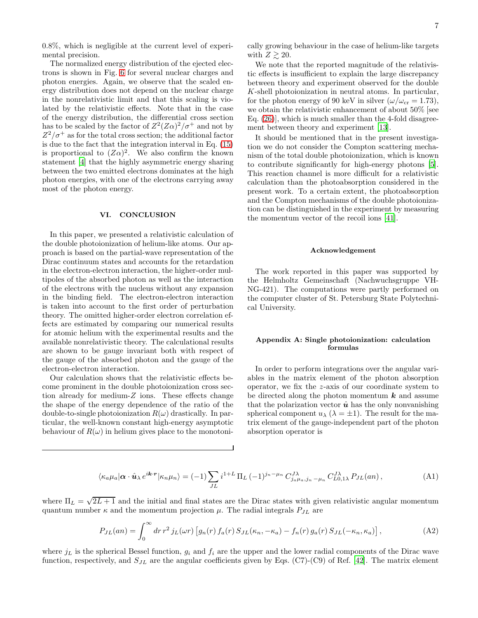0.8%, which is negligible at the current level of experimental precision.

The normalized energy distribution of the ejected electrons is shown in Fig. [6](#page-8-2) for several nuclear charges and photon energies. Again, we observe that the scaled energy distribution does not depend on the nuclear charge in the nonrelativistic limit and that this scaling is violated by the relativistic effects. Note that in the case of the energy distribution, the differential cross section has to be scaled by the factor of  $Z^2(Z\alpha)^2/\sigma^+$  and not by  $Z^2/\sigma^+$  as for the total cross section; the additional factor is due to the fact that the integration interval in Eq. [\(15\)](#page-2-5) is proportional to  $(Z\alpha)^2$ . We also confirm the known statement [\[4\]](#page-9-3) that the highly asymmetric energy sharing between the two emitted electrons dominates at the high photon energies, with one of the electrons carrying away most of the photon energy.

## VI. CONCLUSION

In this paper, we presented a relativistic calculation of the double photoionization of helium-like atoms. Our approach is based on the partial-wave representation of the Dirac continuum states and accounts for the retardation in the electron-electron interaction, the higher-order multipoles of the absorbed photon as well as the interaction of the electrons with the nucleus without any expansion in the binding field. The electron-electron interaction is taken into account to the first order of perturbation theory. The omitted higher-order electron correlation effects are estimated by comparing our numerical results for atomic helium with the experimental results and the available nonrelativistic theory. The calculational results are shown to be gauge invariant both with respect of the gauge of the absorbed photon and the gauge of the electron-electron interaction.

Our calculation shows that the relativistic effects become prominent in the double photoionization cross section already for medium-Z ions. These effects change the shape of the energy dependence of the ratio of the double-to-single photoionization  $R(\omega)$  drastically. In particular, the well-known constant high-energy asymptotic behaviour of  $R(\omega)$  in helium gives place to the monotoni-

We note that the reported magnitude of the relativistic effects is insufficient to explain the large discrepancy between theory and experiment observed for the double K-shell photoionization in neutral atoms. In particular, for the photon energy of 90 keV in silver  $(\omega/\omega_{cr} = 1.73)$ , we obtain the relativistic enhancement of about 50% [see Eq. [\(26\)](#page-5-1)], which is much smaller than the 4-fold disagreement between theory and experiment [\[13\]](#page-9-25).

It should be mentioned that in the present investigation we do not consider the Compton scattering mechanism of the total double photoionization, which is known to contribute significantly for high-energy photons [\[5\]](#page-9-24). This reaction channel is more difficult for a relativistic calculation than the photoabsorption considered in the present work. To a certain extent, the photoabsorption and the Compton mechanisms of the double photoionization can be distinguished in the experiment by measuring the momentum vector of the recoil ions [\[41\]](#page-10-7).

#### Acknowledgement

The work reported in this paper was supported by the Helmholtz Gemeinschaft (Nachwuchsgruppe VH-NG-421). The computations were partly performed on the computer cluster of St. Petersburg State Polytechnical University.

# <span id="page-6-0"></span>Appendix A: Single photoionization: calculation formulas

In order to perform integrations over the angular variables in the matrix element of the photon absorption operator, we fix the z-axis of our coordinate system to be directed along the photon momentum  $k$  and assume that the polarization vector  $\hat{u}$  has the only nonvanishing spherical component  $u_{\lambda}$  ( $\lambda = \pm 1$ ). The result for the matrix element of the gauge-independent part of the photon absorption operator is

$$
\langle \kappa_a \mu_a | \alpha \cdot \hat{\mathbf{u}} \rangle e^{i\mathbf{k} \cdot \mathbf{r}} | \kappa_n \mu_n \rangle = (-1) \sum_{JL} i^{1+L} \Pi_L (-1)^{j_n - \mu_n} C_{j_a \mu_a, j_n - \mu_n}^{J\lambda} C_{L0, 1\lambda}^{J\lambda} P_{JL}(an) , \tag{A1}
$$

where  $\Pi_L = \sqrt{2L+1}$  and the initial and final states are the Dirac states with given relativistic angular momentum quantum number  $\kappa$  and the momentum projection  $\mu$ . The radial integrals  $P_{JL}$  are

$$
P_{JL}(an) = \int_0^\infty dr \, r^2 \, j_L(\omega r) \left[ g_n(r) \, f_a(r) \, S_{JL}(\kappa_n, -\kappa_a) - f_n(r) \, g_a(r) \, S_{JL}(-\kappa_n, \kappa_a) \right],\tag{A2}
$$

where  $j_L$  is the spherical Bessel function,  $g_i$  and  $f_i$  are the upper and the lower radial components of the Dirac wave function, respectively, and  $S_{JL}$  are the angular coefficients given by Eqs. (C7)-(C9) of Ref. [\[42\]](#page-10-8). The matrix element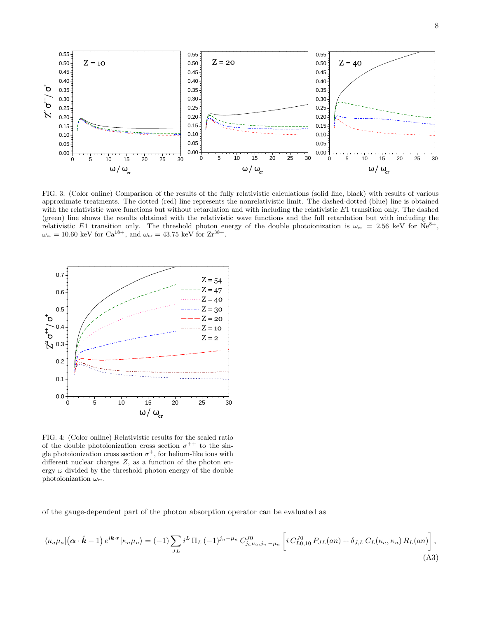

<span id="page-7-0"></span>FIG. 3: (Color online) Comparison of the results of the fully relativistic calculations (solid line, black) with results of various approximate treatments. The dotted (red) line represents the nonrelativistic limit. The dashed-dotted (blue) line is obtained with the relativistic wave functions but without retardation and with including the relativistic E1 transition only. The dashed (green) line shows the results obtained with the relativistic wave functions and the full retardation but with including the relativistic E1 transition only. The threshold photon energy of the double photoionization is  $\omega_{cr} = 2.56 \text{ keV}$  for  $\text{Ne}^{8+}$ ,  $\omega_{\rm cr} = 10.60$  keV for  $Ca^{18+}$ , and  $\omega_{\rm cr} = 43.75$  keV for  $Zr^{38+}$ .



<span id="page-7-1"></span>FIG. 4: (Color online) Relativistic results for the scaled ratio of the double photoionization cross section  $\sigma^{++}$  to the single photoionization cross section  $\sigma^+$ , for helium-like ions with different nuclear charges  $Z$ , as a function of the photon energy  $\omega$  divided by the threshold photon energy of the double photoionization  $\omega_{\rm cr}$ .

of the gauge-dependent part of the photon absorption operator can be evaluated as

$$
\langle \kappa_a \mu_a | (\boldsymbol{\alpha} \cdot \hat{\boldsymbol{k}} - 1) e^{i\boldsymbol{k} \cdot \boldsymbol{r}} | \kappa_n \mu_n \rangle = (-1) \sum_{JL} i^L \Pi_L (-1)^{j_n - \mu_n} C_{j_a \mu_a, j_n - \mu_n}^{J0} \left[ i C_{L0, 10}^{J0} P_{JL}(an) + \delta_{J, L} C_L(\kappa_a, \kappa_n) R_L(an) \right],
$$
\n(A3)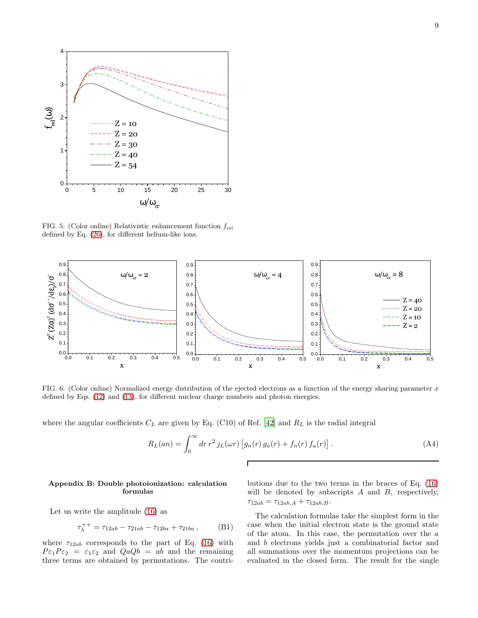

<span id="page-8-1"></span>FIG. 5: (Color online) Relativistic enhancement function  $f_{rel}$ defined by Eq. [\(26\)](#page-5-1), for different helium-like ions.



<span id="page-8-2"></span>FIG. 6: (Color online) Normalized energy distribution of the ejected electrons as a function of the energy sharing parameter  $x$ defined by Eqs. [\(12\)](#page-2-6) and [\(13\)](#page-2-7), for different nuclear charge numbers and photon energies.

where the angular coefficients  $C_L$  are given by Eq. (C10) of Ref. [\[42\]](#page-10-8) and  $R_L$  is the radial integral

$$
R_L(an) = \int_0^\infty dr \, r^2 \, j_L(\omega r) \left[ g_n(r) \, g_a(r) + f_n(r) \, f_a(r) \right]. \tag{A4}
$$

#### <span id="page-8-0"></span>Appendix B: Double photoionization: calculation formulas

Let us write the amplitude [\(16\)](#page-3-1) as

$$
\tau_{\lambda}^{++} = \tau_{12ab} - \tau_{21ab} - \tau_{12ba} + \tau_{21ba} , \qquad (B1)
$$

where  $\tau_{12ab}$  corresponds to the part of Eq. [\(16\)](#page-3-1) with  $P \epsilon_1 P \epsilon_2 = \epsilon_1 \epsilon_2$  and  $Q a Q b = a b$  and the remaining three terms are obtained by permutations. The contributions due to the two terms in the braces of Eq. [\(16\)](#page-3-1) will be denoted by subscripts  $A$  and  $B$ , respectively,  $\tau_{12ab} = \tau_{12ab,A} + \tau_{12ab,B}.$ 

The calculation formulas take the simplest form in the case when the initial electron state is the ground state of the atom. In this case, the permutation over the a and b electrons yields just a combinatorial factor and all summations over the momentum projections can be evaluated in the closed form. The result for the single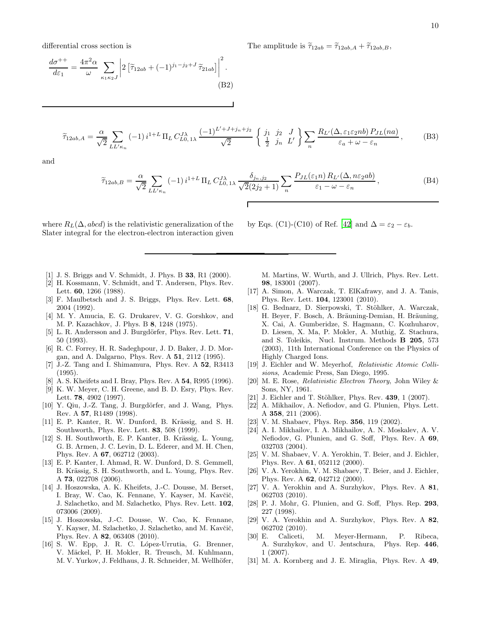differential cross section is

$$
\frac{d\sigma^{++}}{d\varepsilon_1} = \frac{4\pi^2 \alpha}{\omega} \sum_{\kappa_1 \kappa_2 J} \left| 2 \left[ \tilde{\tau}_{12ab} + (-1)^{j_1 - j_2 + J} \tilde{\tau}_{21ab} \right] \right|^2.
$$
\n(B2)

 $\widetilde{\tau}_{12ab,A} = \frac{\alpha}{\sqrt{2}}$  $\sqrt{2}$  $\overline{\phantom{0}}$  $LL'$ <sub>κn</sub>  $(-1)^{i^{1+L} \prod_L C_{L0,1\lambda}^{J\lambda} \frac{(-1)^{L'+J+j_n+j_2}}{\sqrt{2}}}$  $\sqrt{2}$  $\left\{\begin{array}{ccc} j_1 & j_2 & J \\ \frac{1}{2} & j_n & L' \end{array}\right\} \sum_n$ n  $R_{L'}(\Delta, \varepsilon_1 \varepsilon_2 nb) P_{JL}(na)$  $\varepsilon_a + \omega - \varepsilon_n$  $(B3)$ 

and

$$
\widetilde{\tau}_{12ab,B} = \frac{\alpha}{\sqrt{2}} \sum_{LL'\kappa_n} (-1) i^{1+L} \Pi_L C_{L0,1\lambda}^{J\lambda} \frac{\delta_{j_n,j_2}}{\sqrt{2}(2j_2+1)} \sum_n \frac{P_{JL}(\varepsilon_1 n) R_{L'}(\Delta, n\varepsilon_2 ab)}{\varepsilon_1 - \omega - \varepsilon_n},
$$
\n(B4)

where  $R_L(\Delta, abcd)$  is the relativistic generalization of the Slater integral for the electron-electron interaction given by Eqs. (C1)-(C10) of Ref. [\[42\]](#page-10-8) and  $\Delta = \varepsilon_2 - \varepsilon_b$ .

- <span id="page-9-0"></span>[1] J. S. Briggs and V. Schmidt, J. Phys. B 33, R1 (2000).
- <span id="page-9-1"></span>[2] H. Kossmann, V. Schmidt, and T. Andersen, Phys. Rev. Lett. 60, 1266 (1988).
- <span id="page-9-2"></span>[3] F. Maulbetsch and J. S. Briggs, Phys. Rev. Lett. 68, 2004 (1992).
- <span id="page-9-3"></span>[4] M. Y. Amucia, E. G. Drukarev, V. G. Gorshkov, and M. P. Kazachkov, J. Phys. B 8, 1248 (1975).
- <span id="page-9-24"></span>[5] L. R. Andersson and J. Burgdörfer, Phys. Rev. Lett.  $71$ , 50 (1993).
- <span id="page-9-4"></span>[6] R. C. Forrey, H. R. Sadeghpour, J. D. Baker, J. D. Morgan, and A. Dalgarno, Phys. Rev. A 51, 2112 (1995).
- <span id="page-9-5"></span>[7] J.-Z. Tang and I. Shimamura, Phys. Rev. A 52, R3413 (1995).
- [8] A. S. Kheifets and I. Bray, Phys. Rev. A 54, R995 (1996).
- [9] K. W. Meyer, C. H. Greene, and B. D. Esry, Phys. Rev. Lett. 78, 4902 (1997).
- <span id="page-9-6"></span> $[10]$  Y. Qiu, J.-Z. Tang, J. Burgdörfer, and J. Wang, Phys. Rev. A 57, R1489 (1998).
- <span id="page-9-7"></span> $[11]$  E. P. Kanter, R. W. Dunford, B. Krässig, and S. H. Southworth, Phys. Rev. Lett. 83, 508 (1999).
- [12] S. H. Southworth, E. P. Kanter, B. Krässig, L. Young, G. B. Armen, J. C. Levin, D. L. Ederer, and M. H. Chen, Phys. Rev. A 67, 062712 (2003).
- <span id="page-9-25"></span>[13] E. P. Kanter, I. Ahmad, R. W. Dunford, D. S. Gemmell, B. Krässig, S. H. Southworth, and L. Young, Phys. Rev. A 73, 022708 (2006).
- [14] J. Hoszowska, A. K. Kheifets, J.-C. Dousse, M. Berset, I. Bray, W. Cao, K. Fennane, Y. Kayser, M. Kavčič, J. Szlachetko, and M. Szlachetko, Phys. Rev. Lett. 102, 073006 (2009).
- <span id="page-9-8"></span>[15] J. Hoszowska, J.-C. Dousse, W. Cao, K. Fennane, Y. Kayser, M. Szlachetko, J. Szlachetko, and M. Kavčič, Phys. Rev. A 82, 063408 (2010).
- <span id="page-9-9"></span>[16] S. W. Epp, J. R. C. López-Urrutia, G. Brenner, V. Mäckel, P. H. Mokler, R. Treusch, M. Kuhlmann, M. V. Yurkov, J. Feldhaus, J. R. Schneider, M. Wellhöfer,

M. Martins, W. Wurth, and J. Ullrich, Phys. Rev. Lett. 98, 183001 (2007).

- <span id="page-9-10"></span>[17] A. Simon, A. Warczak, T. ElKafrawy, and J. A. Tanis, Phys. Rev. Lett. 104, 123001 (2010).
- <span id="page-9-11"></span>[18] G. Bednarz, D. Sierpowski, T. Stöhlker, A. Warczak, H. Beyer, F. Bosch, A. Bräuning-Demian, H. Bräuning, X. Cai, A. Gumberidze, S. Hagmann, C. Kozhuharov, D. Liesen, X. Ma, P. Mokler, A. Muthig, Z. Stachura, and S. Toleikis, Nucl. Instrum. Methods B 205, 573 (2003), 11th International Conference on the Physics of Highly Charged Ions.
- <span id="page-9-12"></span>[19] J. Eichler and W. Meyerhof, Relativistic Atomic Collisions, Academic Press, San Diego, 1995.
- <span id="page-9-13"></span>[20] M. E. Rose, Relativistic Electron Theory, John Wiley & Sons, NY, 1961.
- <span id="page-9-14"></span>[21] J. Eichler and T. Stöhlker, Phys. Rev.  $439, 1$  (2007).
- <span id="page-9-15"></span>[22] A. Mikhailov, A. Nefiodov, and G. Plunien, Phys. Lett. A 358, 211 (2006).
- <span id="page-9-16"></span>[23] V. M. Shabaev, Phys. Rep. **356**, 119 (2002).
- <span id="page-9-17"></span>[24] A. I. Mikhailov, I. A. Mikhailov, A. N. Moskalev, A. V. Nefiodov, G. Plunien, and G. Soff, Phys. Rev. A 69, 032703 (2004).
- <span id="page-9-18"></span>[25] V. M. Shabaev, V. A. Yerokhin, T. Beier, and J. Eichler, Phys. Rev. A 61, 052112 (2000).
- [26] V. A. Yerokhin, V. M. Shabaev, T. Beier, and J. Eichler, Phys. Rev. A 62, 042712 (2000).
- <span id="page-9-19"></span>[27] V. A. Yerokhin and A. Surzhykov, Phys. Rev. A 81, 062703 (2010).
- <span id="page-9-20"></span>[28] P. J. Mohr, G. Plunien, and G. Soff, Phys. Rep. 293, 227 (1998).
- <span id="page-9-21"></span>[29] V. A. Yerokhin and A. Surzhykov, Phys. Rev. A 82,  $[30]$  E. Caliceti.
- <span id="page-9-22"></span>Caliceti, M. Meyer-Hermann, P. Ribeca, A. Surzhykov, and U. Jentschura, Phys. Rep. 446, 1 (2007).
- <span id="page-9-23"></span>[31] M. A. Kornberg and J. E. Miraglia, Phys. Rev. A 49,